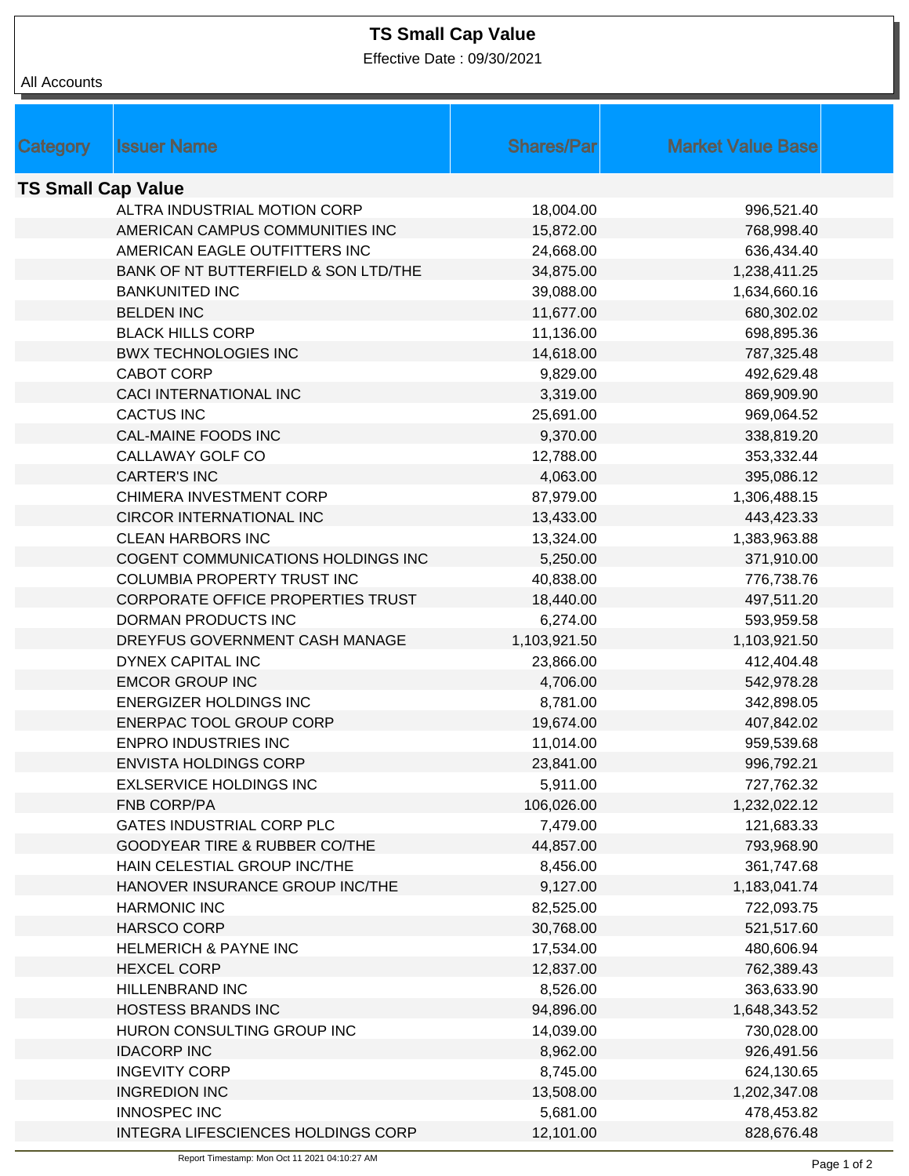## **TS Small Cap Value**

Effective Date : 09/30/2021

| All Accounts              |                                      |                   |                          |  |  |
|---------------------------|--------------------------------------|-------------------|--------------------------|--|--|
|                           |                                      |                   |                          |  |  |
| Category                  | <b>Issuer Name</b>                   | <b>Shares/Par</b> | <b>Market Value Base</b> |  |  |
|                           |                                      |                   |                          |  |  |
| <b>TS Small Cap Value</b> |                                      |                   |                          |  |  |
|                           | ALTRA INDUSTRIAL MOTION CORP         | 18,004.00         | 996,521.40               |  |  |
|                           | AMERICAN CAMPUS COMMUNITIES INC      | 15,872.00         | 768,998.40               |  |  |
|                           | AMERICAN EAGLE OUTFITTERS INC        | 24,668.00         | 636,434.40               |  |  |
|                           | BANK OF NT BUTTERFIELD & SON LTD/THE | 34,875.00         | 1,238,411.25             |  |  |
|                           | <b>BANKUNITED INC</b>                | 39,088.00         | 1,634,660.16             |  |  |
|                           | <b>BELDEN INC</b>                    | 11,677.00         | 680,302.02               |  |  |
|                           | <b>BLACK HILLS CORP</b>              | 11,136.00         | 698,895.36               |  |  |
|                           | <b>BWX TECHNOLOGIES INC</b>          | 14,618.00         | 787,325.48               |  |  |
|                           | <b>CABOT CORP</b>                    | 9,829.00          | 492,629.48               |  |  |
|                           | <b>CACI INTERNATIONAL INC</b>        | 3,319.00          | 869,909.90               |  |  |
|                           | <b>CACTUS INC</b>                    | 25,691.00         | 969,064.52               |  |  |
|                           | <b>CAL-MAINE FOODS INC</b>           | 9,370.00          | 338,819.20               |  |  |
|                           | CALLAWAY GOLF CO                     | 12,788.00         | 353,332.44               |  |  |
|                           | <b>CARTER'S INC</b>                  | 4,063.00          | 395,086.12               |  |  |
|                           | CHIMERA INVESTMENT CORP              | 87,979.00         | 1,306,488.15             |  |  |
|                           | CIRCOR INTERNATIONAL INC             | 13,433.00         | 443,423.33               |  |  |
|                           | <b>CLEAN HARBORS INC</b>             | 13,324.00         | 1,383,963.88             |  |  |
|                           | COGENT COMMUNICATIONS HOLDINGS INC   | 5,250.00          | 371,910.00               |  |  |
|                           | COLUMBIA PROPERTY TRUST INC          | 40,838.00         | 776,738.76               |  |  |
|                           | CORPORATE OFFICE PROPERTIES TRUST    | 18,440.00         | 497,511.20               |  |  |
|                           | DORMAN PRODUCTS INC                  | 6,274.00          | 593,959.58               |  |  |
|                           | DREYFUS GOVERNMENT CASH MANAGE       | 1,103,921.50      | 1,103,921.50             |  |  |
|                           | DYNEX CAPITAL INC                    | 23,866.00         | 412,404.48               |  |  |
|                           | <b>EMCOR GROUP INC</b>               | 4,706.00          | 542,978.28               |  |  |
|                           | <b>ENERGIZER HOLDINGS INC</b>        | 8,781.00          | 342,898.05               |  |  |
|                           | ENERPAC TOOL GROUP CORP              | 19,674.00         | 407,842.02               |  |  |
|                           | ENPRO INDUSTRIES INC                 | 11,014.00         | 959,539.68               |  |  |
|                           | <b>ENVISTA HOLDINGS CORP</b>         | 23,841.00         | 996,792.21               |  |  |
|                           | <b>EXLSERVICE HOLDINGS INC</b>       | 5,911.00          | 727,762.32               |  |  |
|                           | <b>FNB CORP/PA</b>                   | 106,026.00        | 1,232,022.12             |  |  |
|                           | GATES INDUSTRIAL CORP PLC            | 7,479.00          | 121,683.33               |  |  |
|                           | GOODYEAR TIRE & RUBBER CO/THE        | 44,857.00         | 793,968.90               |  |  |
|                           | HAIN CELESTIAL GROUP INC/THE         | 8,456.00          | 361,747.68               |  |  |
|                           | HANOVER INSURANCE GROUP INC/THE      | 9,127.00          | 1,183,041.74             |  |  |
|                           | <b>HARMONIC INC</b>                  | 82,525.00         | 722,093.75               |  |  |
|                           | <b>HARSCO CORP</b>                   | 30,768.00         | 521,517.60               |  |  |
|                           | <b>HELMERICH &amp; PAYNE INC</b>     | 17,534.00         | 480,606.94               |  |  |
|                           | <b>HEXCEL CORP</b>                   | 12,837.00         | 762,389.43               |  |  |
|                           | HILLENBRAND INC                      | 8,526.00          | 363,633.90               |  |  |
|                           |                                      |                   |                          |  |  |
|                           | <b>HOSTESS BRANDS INC</b>            | 94,896.00         | 1,648,343.52             |  |  |
|                           | HURON CONSULTING GROUP INC           | 14,039.00         | 730,028.00               |  |  |
|                           | <b>IDACORP INC</b>                   | 8,962.00          | 926,491.56               |  |  |
|                           | <b>INGEVITY CORP</b>                 | 8,745.00          | 624,130.65               |  |  |
|                           | <b>INGREDION INC</b>                 | 13,508.00         | 1,202,347.08             |  |  |
|                           | <b>INNOSPEC INC</b>                  | 5,681.00          | 478,453.82               |  |  |
|                           | INTEGRA LIFESCIENCES HOLDINGS CORP   | 12,101.00         | 828,676.48               |  |  |